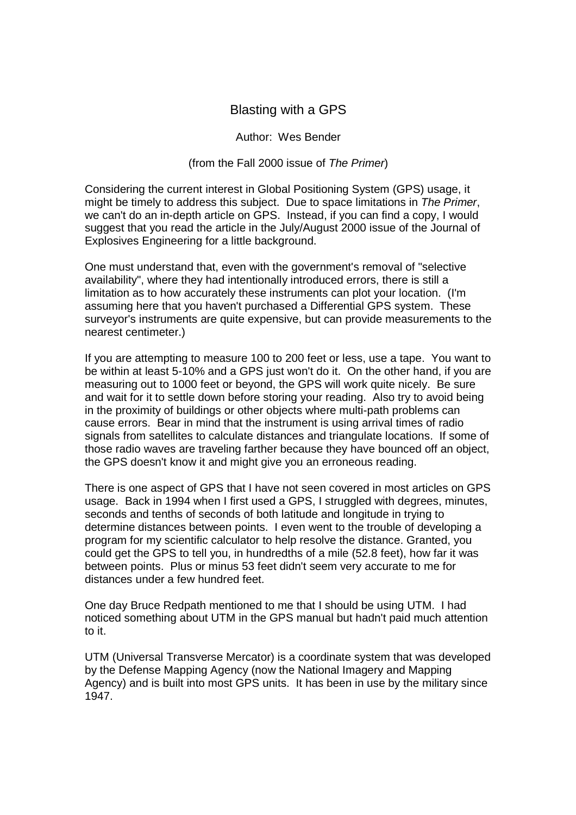## Blasting with a GPS

## Author: Wes Bender

## (from the Fall 2000 issue of The Primer)

Considering the current interest in Global Positioning System (GPS) usage, it might be timely to address this subject. Due to space limitations in The Primer, we can't do an in-depth article on GPS. Instead, if you can find a copy, I would suggest that you read the article in the July/August 2000 issue of the Journal of Explosives Engineering for a little background.

One must understand that, even with the government's removal of "selective availability", where they had intentionally introduced errors, there is still a limitation as to how accurately these instruments can plot your location. (I'm assuming here that you haven't purchased a Differential GPS system. These surveyor's instruments are quite expensive, but can provide measurements to the nearest centimeter.)

If you are attempting to measure 100 to 200 feet or less, use a tape. You want to be within at least 5-10% and a GPS just won't do it. On the other hand, if you are measuring out to 1000 feet or beyond, the GPS will work quite nicely. Be sure and wait for it to settle down before storing your reading. Also try to avoid being in the proximity of buildings or other objects where multi-path problems can cause errors. Bear in mind that the instrument is using arrival times of radio signals from satellites to calculate distances and triangulate locations. If some of those radio waves are traveling farther because they have bounced off an object, the GPS doesn't know it and might give you an erroneous reading.

There is one aspect of GPS that I have not seen covered in most articles on GPS usage. Back in 1994 when I first used a GPS, I struggled with degrees, minutes, seconds and tenths of seconds of both latitude and longitude in trying to determine distances between points. I even went to the trouble of developing a program for my scientific calculator to help resolve the distance. Granted, you could get the GPS to tell you, in hundredths of a mile (52.8 feet), how far it was between points. Plus or minus 53 feet didn't seem very accurate to me for distances under a few hundred feet.

One day Bruce Redpath mentioned to me that I should be using UTM. I had noticed something about UTM in the GPS manual but hadn't paid much attention to it.

UTM (Universal Transverse Mercator) is a coordinate system that was developed by the Defense Mapping Agency (now the National Imagery and Mapping Agency) and is built into most GPS units. It has been in use by the military since 1947.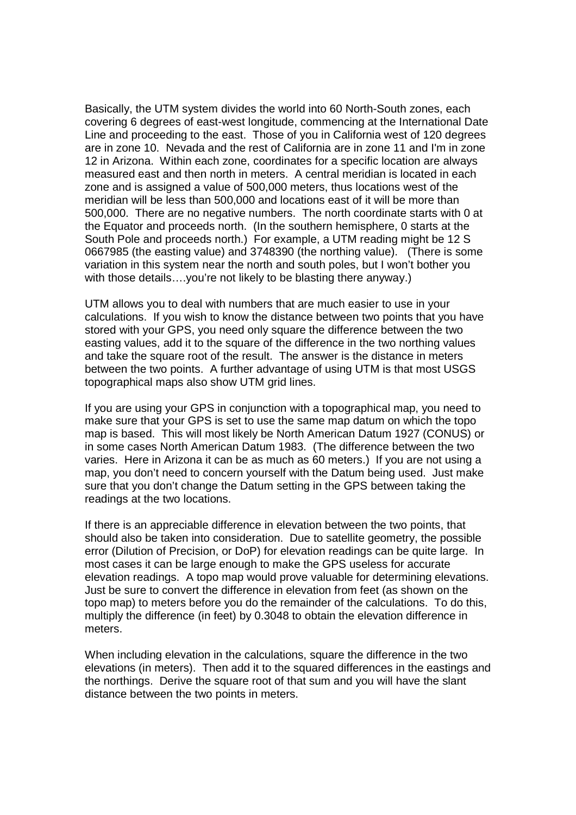Basically, the UTM system divides the world into 60 North-South zones, each covering 6 degrees of east-west longitude, commencing at the International Date Line and proceeding to the east. Those of you in California west of 120 degrees are in zone 10. Nevada and the rest of California are in zone 11 and I'm in zone 12 in Arizona. Within each zone, coordinates for a specific location are always measured east and then north in meters. A central meridian is located in each zone and is assigned a value of 500,000 meters, thus locations west of the meridian will be less than 500,000 and locations east of it will be more than 500,000. There are no negative numbers. The north coordinate starts with 0 at the Equator and proceeds north. (In the southern hemisphere, 0 starts at the South Pole and proceeds north.) For example, a UTM reading might be 12 S 0667985 (the easting value) and 3748390 (the northing value). (There is some variation in this system near the north and south poles, but I won't bother you with those details....you're not likely to be blasting there anyway.)

UTM allows you to deal with numbers that are much easier to use in your calculations. If you wish to know the distance between two points that you have stored with your GPS, you need only square the difference between the two easting values, add it to the square of the difference in the two northing values and take the square root of the result. The answer is the distance in meters between the two points. A further advantage of using UTM is that most USGS topographical maps also show UTM grid lines.

If you are using your GPS in conjunction with a topographical map, you need to make sure that your GPS is set to use the same map datum on which the topo map is based. This will most likely be North American Datum 1927 (CONUS) or in some cases North American Datum 1983. (The difference between the two varies. Here in Arizona it can be as much as 60 meters.) If you are not using a map, you don't need to concern yourself with the Datum being used. Just make sure that you don't change the Datum setting in the GPS between taking the readings at the two locations.

If there is an appreciable difference in elevation between the two points, that should also be taken into consideration. Due to satellite geometry, the possible error (Dilution of Precision, or DoP) for elevation readings can be quite large. In most cases it can be large enough to make the GPS useless for accurate elevation readings. A topo map would prove valuable for determining elevations. Just be sure to convert the difference in elevation from feet (as shown on the topo map) to meters before you do the remainder of the calculations. To do this, multiply the difference (in feet) by 0.3048 to obtain the elevation difference in meters.

When including elevation in the calculations, square the difference in the two elevations (in meters). Then add it to the squared differences in the eastings and the northings. Derive the square root of that sum and you will have the slant distance between the two points in meters.